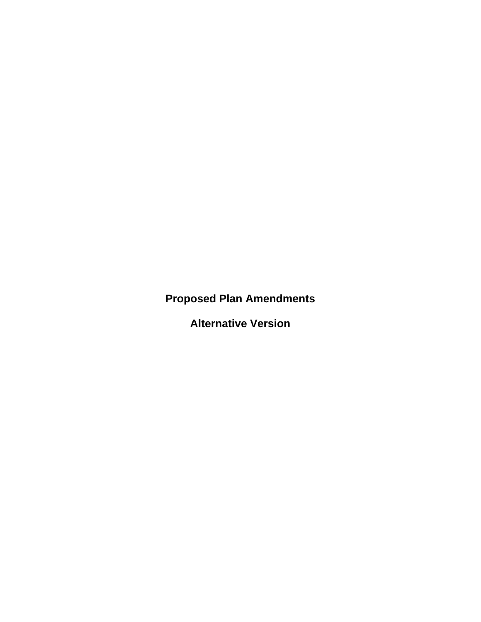**Proposed Plan Amendments** 

**Alternative Version**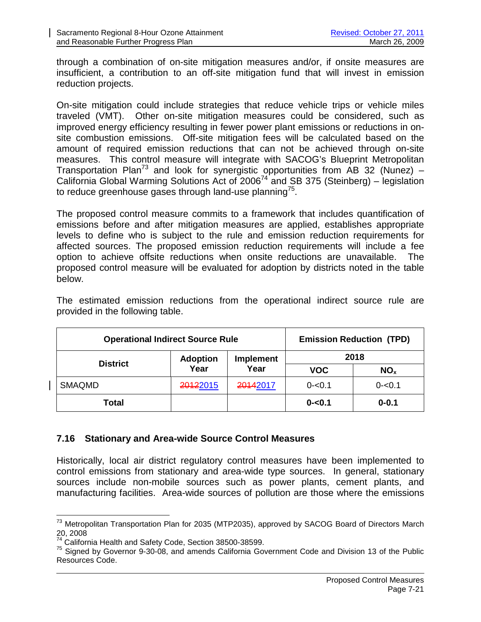through a combination of on-site mitigation measures and/or, if onsite measures are insufficient, a contribution to an off-site mitigation fund that will invest in emission reduction projects.

On-site mitigation could include strategies that reduce vehicle trips or vehicle miles traveled (VMT). Other on-site mitigation measures could be considered, such as improved energy efficiency resulting in fewer power plant emissions or reductions in onsite combustion emissions. Off-site mitigation fees will be calculated based on the amount of required emission reductions that can not be achieved through on-site measures. This control measure will integrate with SACOG's Blueprint Metropolitan Transportation Plan<sup>73</sup> and look for synergistic opportunities from AB 32 (Nunez) – California Global Warming Solutions Act of  $2006^{74}$  and SB 375 (Steinberg) – legislation to reduce greenhouse gases through land-use planning $75$ .

The proposed control measure commits to a framework that includes quantification of emissions before and after mitigation measures are applied, establishes appropriate levels to define who is subject to the rule and emission reduction requirements for affected sources. The proposed emission reduction requirements will include a fee option to achieve offsite reductions when onsite reductions are unavailable. The proposed control measure will be evaluated for adoption by districts noted in the table below.

The estimated emission reductions from the operational indirect source rule are provided in the following table.

| <b>Operational Indirect Source Rule</b> |                         |                          | <b>Emission Reduction (TPD)</b> |                 |
|-----------------------------------------|-------------------------|--------------------------|---------------------------------|-----------------|
| <b>District</b>                         | <b>Adoption</b><br>Year | <b>Implement</b><br>Year | 2018                            |                 |
|                                         |                         |                          | <b>VOC</b>                      | NO <sub>x</sub> |
| <b>SMAQMD</b>                           | 20122015                | 20142017                 | $0 - 0.1$                       | $0 - 0.1$       |
| Total                                   |                         |                          | $0 - 0.1$                       | $0 - 0.1$       |

## **7.16 Stationary and Area-wide Source Control Measures**

Historically, local air district regulatory control measures have been implemented to control emissions from stationary and area-wide type sources. In general, stationary sources include non-mobile sources such as power plants, cement plants, and manufacturing facilities. Area-wide sources of pollution are those where the emissions

<sup>&</sup>lt;sup>73</sup> Metropolitan Transportation Plan for 2035 (MTP2035), approved by SACOG Board of Directors March 20, 2008

<sup>&</sup>lt;sup>74</sup> California Health and Safety Code, Section 38500-38599.

 $75$  Signed by Governor 9-30-08, and amends California Government Code and Division 13 of the Public Resources Code.